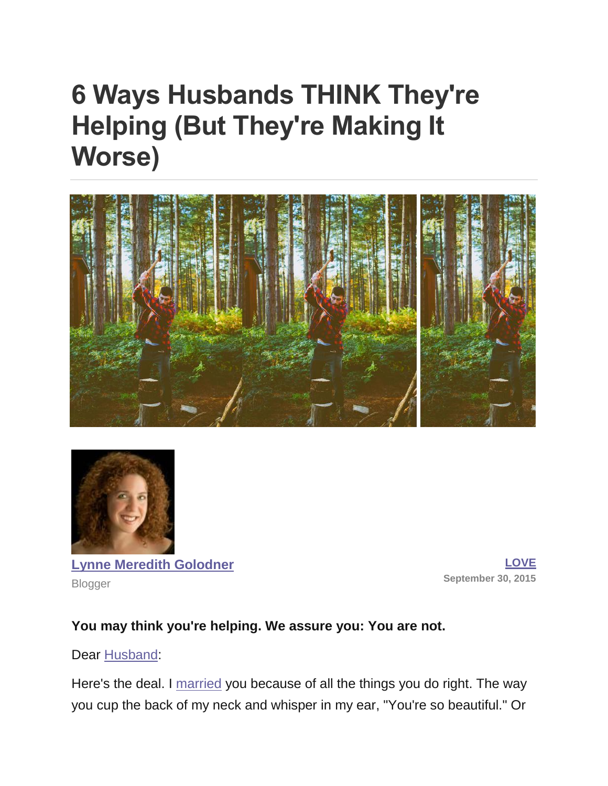# **6 Ways Husbands THINK They're Helping (But They're Making It Worse)**





**[Lynne Meredith Golodner](http://www.yourtango.com/users/lynne-meredith-golodner)** Blogger

**[LOVE](http://www.yourtango.com/love) September 30, 2015**

#### **You may think you're helping. We assure you: You are not.**

#### Dear [Husband:](http://www.yourtango.com/2014242539/friendship-quotes-that-prove-your-husband-is-your-best-friend)

Here's the deal. I [married](http://www.yourtango.com/married-lovestage) you because of all the things you do right. The way you cup the back of my neck and whisper in my ear, "You're so beautiful." Or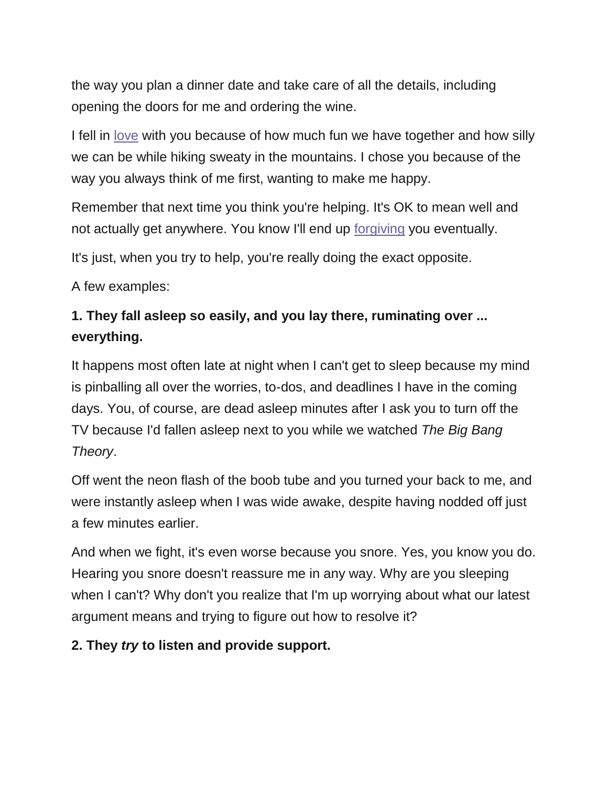the way you plan a dinner date and take care of all the details, including opening the doors for me and ordering the wine.

I fell in [love](http://www.yourtango.com/love) with you because of how much fun we have together and how silly we can be while hiking sweaty in the mountains. I chose you because of the way you always think of me first, wanting to make me happy.

Remember that next time you think you're helping. It's OK to mean well and not actually get anywhere. You know I'll end up [forgiving](http://www.yourtango.com/201170768/50-best-marriage-tips-ever) you eventually.

It's just, when you try to help, you're really doing the exact opposite.

A few examples:

# **1. They fall asleep so easily, and you lay there, ruminating over ... everything.**

It happens most often late at night when I can't get to sleep because my mind is pinballing all over the worries, to-dos, and deadlines I have in the coming days. You, of course, are dead asleep minutes after I ask you to turn off the TV because I'd fallen asleep next to you while we watched *The Big Bang Theory*.

Off went the neon flash of the boob tube and you turned your back to me, and were instantly asleep when I was wide awake, despite having nodded off just a few minutes earlier.

And when we fight, it's even worse because you snore. Yes, you know you do. Hearing you snore doesn't reassure me in any way. Why are you sleeping when I can't? Why don't you realize that I'm up worrying about what our latest argument means and trying to figure out how to resolve it?

#### **2. They** *try* **to listen and provide support.**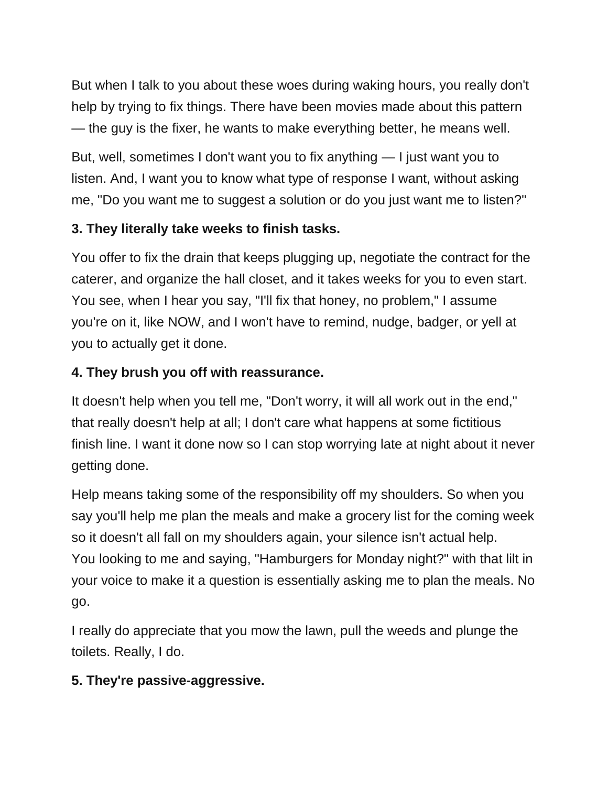But when I talk to you about these woes during waking hours, you really don't help by trying to fix things. There have been movies made about this pattern — the guy is the fixer, he wants to make everything better, he means well.

But, well, sometimes I don't want you to fix anything — I just want you to listen. And, I want you to know what type of response I want, without asking me, "Do you want me to suggest a solution or do you just want me to listen?"

## **3. They literally take weeks to finish tasks.**

You offer to fix the drain that keeps plugging up, negotiate the contract for the caterer, and organize the hall closet, and it takes weeks for you to even start. You see, when I hear you say, "I'll fix that honey, no problem," I assume you're on it, like NOW, and I won't have to remind, nudge, badger, or yell at you to actually get it done.

#### **4. They brush you off with reassurance.**

It doesn't help when you tell me, "Don't worry, it will all work out in the end," that really doesn't help at all; I don't care what happens at some fictitious finish line. I want it done now so I can stop worrying late at night about it never getting done.

Help means taking some of the responsibility off my shoulders. So when you say you'll help me plan the meals and make a grocery list for the coming week so it doesn't all fall on my shoulders again, your silence isn't actual help. You looking to me and saying, "Hamburgers for Monday night?" with that lilt in your voice to make it a question is essentially asking me to plan the meals. No go.

I really do appreciate that you mow the lawn, pull the weeds and plunge the toilets. Really, I do.

## **5. They're passive-aggressive.**